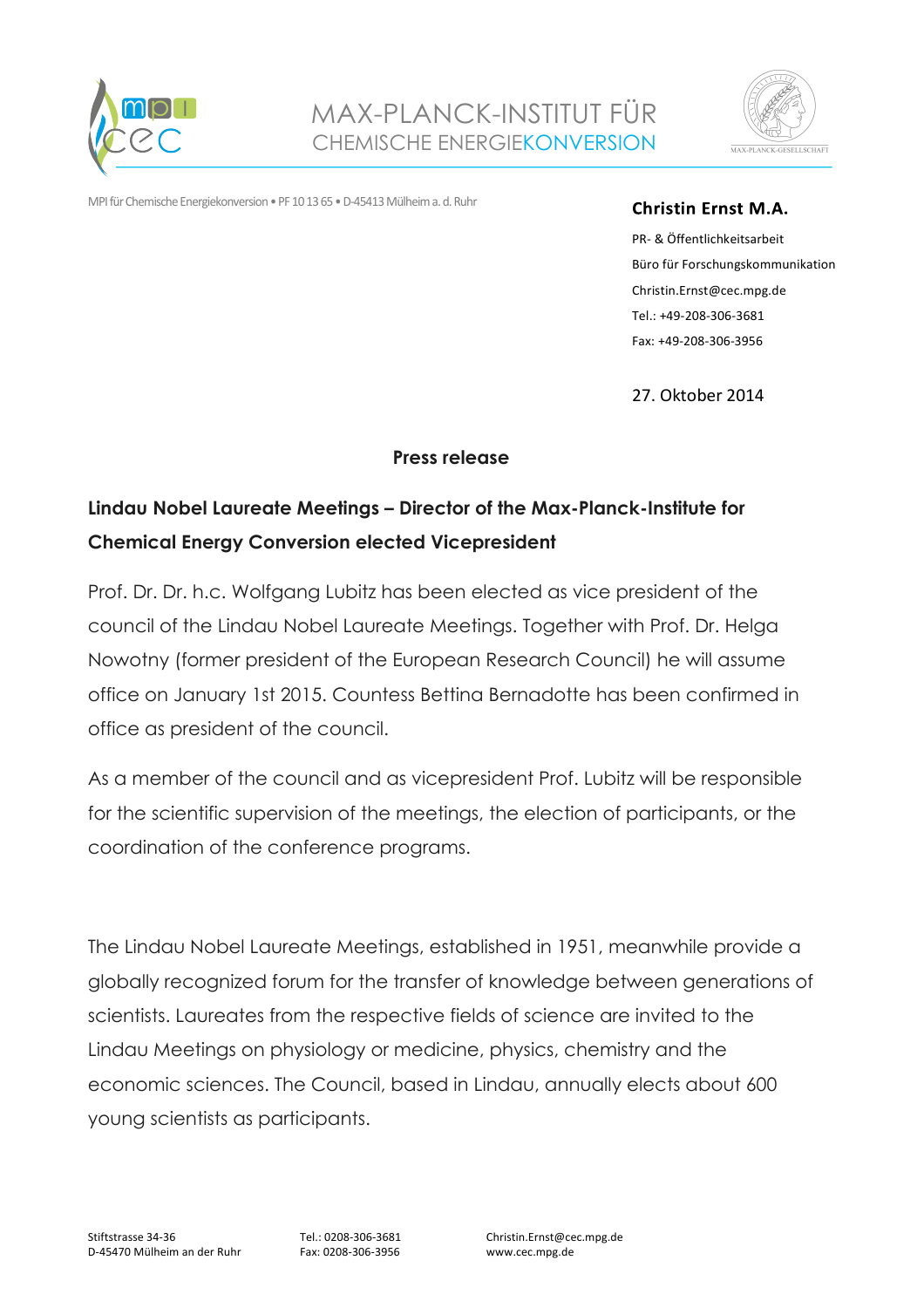



MPI für Chemische Energiekonversion • PF 10 13 65 • D-45413 Mülheim a. d. Ruhr

## **Christin Ernst M.A.**

PR- & Öffentlichkeitsarbeit Büro für Forschungskommunikation Christin.Ernst@cec.mpg.de Tel.: +49-208-306-3681 Fax: +49-208-306-3956

27. Oktober 2014

## **Press release**

## **Lindau Nobel Laureate Meetings – Director of the Max-Planck-Institute for Chemical Energy Conversion elected Vicepresident**

Prof. Dr. Dr. h.c. Wolfgang Lubitz has been elected as vice president of the council of the Lindau Nobel Laureate Meetings. Together with Prof. Dr. Helga Nowotny (former president of the European Research Council) he will assume office on January 1st 2015. Countess Bettina Bernadotte has been confirmed in office as president of the council.

As a member of the council and as vicepresident Prof. Lubitz will be responsible for the scientific supervision of the meetings, the election of participants, or the coordination of the conference programs.

The Lindau Nobel Laureate Meetings, established in 1951, meanwhile provide a globally recognized forum for the transfer of knowledge between generations of scientists. Laureates from the respective fields of science are invited to the Lindau Meetings on physiology or medicine, physics, chemistry and the economic sciences. The Council, based in Lindau, annually elects about 600 young scientists as participants.